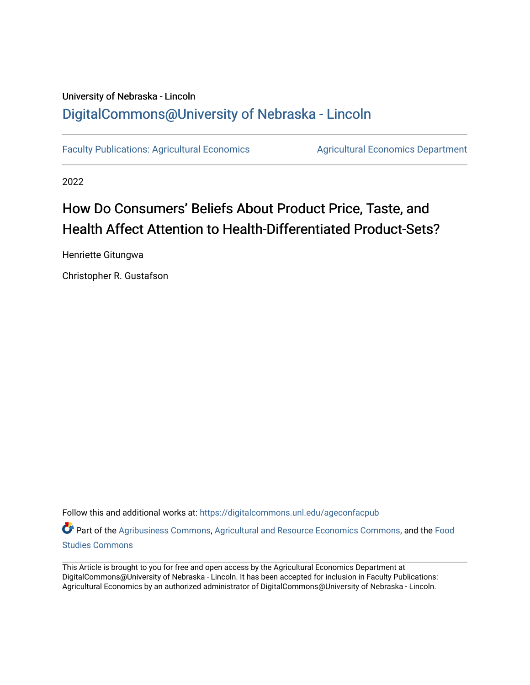## University of Nebraska - Lincoln [DigitalCommons@University of Nebraska - Lincoln](https://digitalcommons.unl.edu/)

[Faculty Publications: Agricultural Economics](https://digitalcommons.unl.edu/ageconfacpub) [Agricultural Economics Department](https://digitalcommons.unl.edu/ag_econ) 

2022

## How Do Consumers' Beliefs About Product Price, Taste, and Health Affect Attention to Health-Differentiated Product-Sets?

Henriette Gitungwa

Christopher R. Gustafson

Follow this and additional works at: [https://digitalcommons.unl.edu/ageconfacpub](https://digitalcommons.unl.edu/ageconfacpub?utm_source=digitalcommons.unl.edu%2Fageconfacpub%2F246&utm_medium=PDF&utm_campaign=PDFCoverPages)

Part of the [Agribusiness Commons,](https://network.bepress.com/hgg/discipline/1051?utm_source=digitalcommons.unl.edu%2Fageconfacpub%2F246&utm_medium=PDF&utm_campaign=PDFCoverPages) [Agricultural and Resource Economics Commons,](https://network.bepress.com/hgg/discipline/317?utm_source=digitalcommons.unl.edu%2Fageconfacpub%2F246&utm_medium=PDF&utm_campaign=PDFCoverPages) and the [Food](https://network.bepress.com/hgg/discipline/1386?utm_source=digitalcommons.unl.edu%2Fageconfacpub%2F246&utm_medium=PDF&utm_campaign=PDFCoverPages) [Studies Commons](https://network.bepress.com/hgg/discipline/1386?utm_source=digitalcommons.unl.edu%2Fageconfacpub%2F246&utm_medium=PDF&utm_campaign=PDFCoverPages) 

This Article is brought to you for free and open access by the Agricultural Economics Department at DigitalCommons@University of Nebraska - Lincoln. It has been accepted for inclusion in Faculty Publications: Agricultural Economics by an authorized administrator of DigitalCommons@University of Nebraska - Lincoln.